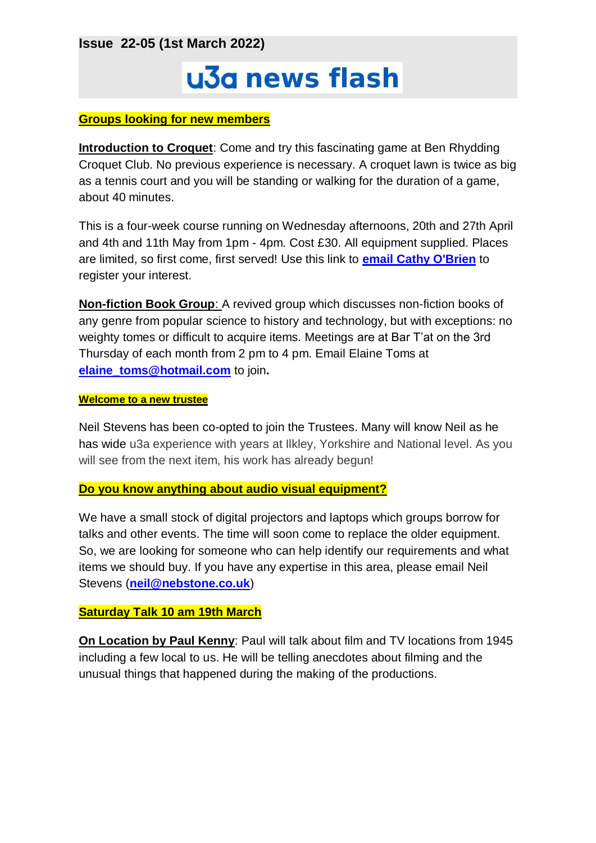**Issue 22-05 (1st March 2022)**

# u3a news flash

#### **Groups looking for new members**

**Introduction to Croquet**: Come and try this fascinating game at Ben Rhydding Croquet Club. No previous experience is necessary. A croquet lawn is twice as big as a tennis court and you will be standing or walking for the duration of a game, about 40 minutes.

This is a four-week course running on Wednesday afternoons, 20th and 27th April and 4th and 11th May from 1pm - 4pm. Cost £30. All equipment supplied. Places are limited, so first come, first served! Use this link to **[email Cathy O'Brien](mailto:cathyobrien52@gmail.com)** to register your interest.

**Non-fiction Book Group**: A revived group which discusses non-fiction books of any genre from popular science to history and technology, but with exceptions: no weighty tomes or difficult to acquire items. Meetings are at Bar T'at on the 3rd Thursday of each month from 2 pm to 4 pm. Email Elaine Toms at **[elaine\\_toms@hotmail.com](mailto:elaine_toms@hotmail.com)** to join**.**

#### **Welcome to a new trustee**

Neil Stevens has been co-opted to join the Trustees. Many will know Neil as he has wide u3a experience with years at Ilkley, Yorkshire and National level. As you will see from the next item, his work has already begun!

#### **Do you know anything about audio visual equipment?**

We have a small stock of digital projectors and laptops which groups borrow for talks and other events. The time will soon come to replace the older equipment. So, we are looking for someone who can help identify our requirements and what items we should buy. If you have any expertise in this area, please email Neil Stevens (**[neil@nebstone.co.uk](mailto:neil@nebstone.co.uk)**)

## **Saturday Talk 10 am 19th March**

**On Location by Paul Kenny**: Paul will talk about film and TV locations from 1945 including a few local to us. He will be telling anecdotes about filming and the unusual things that happened during the making of the productions.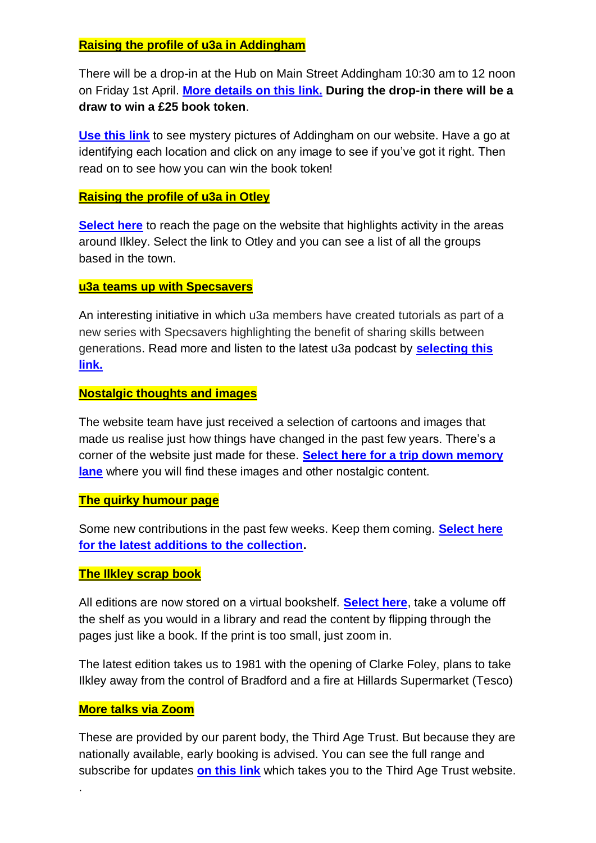## **Raising the profile of u3a in Addingham**

There will be a drop-in at the Hub on Main Street Addingham 10:30 am to 12 noon on Friday 1st April. **[More details on this link.](https://ilkleyu3a.org/event-4711391) During the drop-in there will be a draw to win a £25 book token**.

**[Use this link](http://ilkleyu3a.org/#HQUIZ)** to see mystery pictures of Addingham on our website. Have a go at identifying each location and click on any image to see if you've got it right. Then read on to see how you can win the book token!

### **Raising the profile of u3a in Otley**

**[Select here](https://ilkleyu3a.org/Around-The-Area)** to reach the page on the website that highlights activity in the areas around Ilkley. Select the link to Otley and you can see a list of all the groups based in the town.

#### **u3a teams up with Specsavers**

An interesting initiative in which u3a members have created tutorials as part of a new series with Specsavers highlighting the benefit of sharing skills between generations. Read more and listen to the latest u3a podcast by **[selecting this](https://mailchi.mp/e035f1486b71/u3a-mailing-18-02-22-u3a-tutorials-with-specsavers?e=7417efadce)  [link.](https://mailchi.mp/e035f1486b71/u3a-mailing-18-02-22-u3a-tutorials-with-specsavers?e=7417efadce)**

### **Nostalgic thoughts and images**

The website team have just received a selection of cartoons and images that made us realise just how things have changed in the past few years. There's a corner of the website just made for these. **[Select here for a trip down memory](https://ilkleyu3a.org/Member-Memories-Menu)  [lane](https://ilkleyu3a.org/Member-Memories-Menu)** where you will find these images and other nostalgic content.

#### **The quirky humour page**

Some new contributions in the past few weeks. Keep them coming. **[Select here](https://ilkleyu3a.org/Lockdown-Support-Quirky-Humour)  [for the latest additions to the collection.](https://ilkleyu3a.org/Lockdown-Support-Quirky-Humour)**

## **The Ilkley scrap book**

All editions are now stored on a virtual bookshelf. **[Select here](https://ilkleyu3a.org/resources/Documents/PDF-Flip/bookshelf-Scrapbooks.html)**, take a volume off the shelf as you would in a library and read the content by flipping through the pages just like a book. If the print is too small, just zoom in.

The latest edition takes us to 1981 with the opening of Clarke Foley, plans to take Ilkley away from the control of Bradford and a fire at Hillards Supermarket (Tesco)

## **More talks via Zoom**

.

These are provided by our parent body, the Third Age Trust. But because they are nationally available, early booking is advised. You can see the full range and subscribe for updates **[on this link](https://www.u3a.org.uk/events/educational-events)** which takes you to the Third Age Trust website.